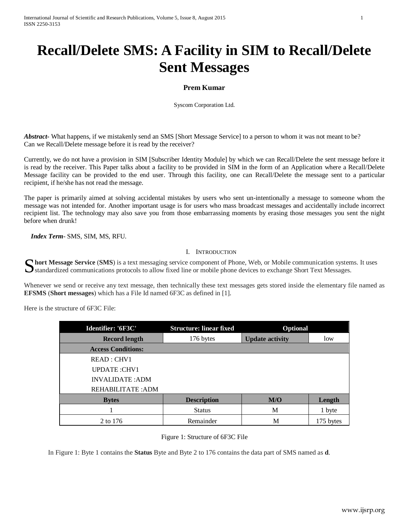# **Recall/Delete SMS: A Facility in SIM to Recall/Delete Sent Messages**

# **Prem Kumar**

Syscom Corporation Ltd.

*Abstract*- What happens, if we mistakenly send an SMS [Short Message Service] to a person to whom it was not meant to be? Can we Recall/Delete message before it is read by the receiver?

Currently, we do not have a provision in SIM [Subscriber Identity Module] by which we can Recall/Delete the sent message before it is read by the receiver. This Paper talks about a facility to be provided in SIM in the form of an Application where a Recall/Delete Message facility can be provided to the end user. Through this facility, one can Recall/Delete the message sent to a particular recipient, if he/she has not read the message.

The paper is primarily aimed at solving accidental mistakes by users who sent un-intentionally a message to someone whom the message was not intended for. Another important usage is for users who mass broadcast messages and accidentally include incorrect recipient list. The technology may also save you from those embarrassing moments by erasing those messages you sent the night before when drunk!

 *Index Term*- SMS, SIM, MS, RFU.

# I. INTRODUCTION

Substandardized communications protocols to allow fixed line or mobile phone, Web, or Mobile communication systems. It uses standardized communications protocols to allow fixed line or mobile phone devices to exchange Shor Standardized communications protocols to allow fixed line or mobile phone devices to exchange Short Text Messages.

Whenever we send or receive any text message, then technically these text messages gets stored inside the elementary file named as **EFSMS** (**Short messages**) which has a File Id named 6F3C as defined in [1].

Here is the structure of 6F3C File:

| Identifier: '6F3C'        | <b>Structure: linear fixed</b> | Optional               |           |
|---------------------------|--------------------------------|------------------------|-----------|
| <b>Record length</b>      | 176 bytes                      | <b>Update activity</b> | low       |
| <b>Access Conditions:</b> |                                |                        |           |
| READ : CHV1               |                                |                        |           |
| UPDATE: CHV1              |                                |                        |           |
| <b>INVALIDATE: ADM</b>    |                                |                        |           |
| REHABILITATE: ADM         |                                |                        |           |
| <b>Bytes</b>              | <b>Description</b>             | M/O                    | Length    |
|                           | <b>Status</b>                  | M                      | 1 byte    |
| 2 to 176                  | Remainder                      | М                      | 175 bytes |

# Figure 1: Structure of 6F3C File

In Figure 1: Byte 1 contains the **Status** Byte and Byte 2 to 176 contains the data part of SMS named as **d**.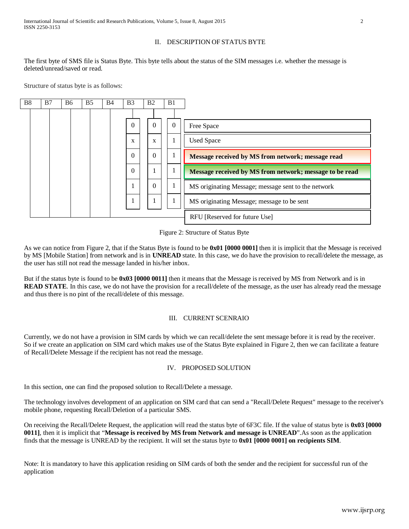### II. DESCRIPTION OF STATUS BYTE

The first byte of SMS file is Status Byte. This byte tells about the status of the SIM messages i.e. whether the message is deleted/unread/saved or read.

Structure of status byte is as follows:



#### Figure 2: Structure of Status Byte

As we can notice from Figure 2, that if the Status Byte is found to be **0x01 [0000 0001]** then it is implicit that the Message is received by MS [Mobile Station] from network and is in **UNREAD** state. In this case, we do have the provision to recall/delete the message, as the user has still not read the message landed in his/her inbox.

But if the status byte is found to be **0x03 [0000 0011]** then it means that the Message is received by MS from Network and is in **READ STATE**. In this case, we do not have the provision for a recall/delete of the message, as the user has already read the message and thus there is no pint of the recall/delete of this message.

#### III. CURRENT SCENRAIO

Currently, we do not have a provision in SIM cards by which we can recall/delete the sent message before it is read by the receiver. So if we create an application on SIM card which makes use of the Status Byte explained in Figure 2, then we can facilitate a feature of Recall/Delete Message if the recipient has not read the message.

#### IV. PROPOSED SOLUTION

In this section, one can find the proposed solution to Recall/Delete a message.

The technology involves development of an application on SIM card that can send a "Recall/Delete Request" message to the receiver's mobile phone, requesting Recall/Deletion of a particular SMS.

On receiving the Recall/Delete Request, the application will read the status byte of 6F3C file. If the value of status byte is **0x03 [0000 0011]**, then it is implicit that "**Message is received by MS from Network and message is UNREAD**".As soon as the application finds that the message is UNREAD by the recipient. It will set the status byte to **0x01 [0000 0001] on recipients SIM**.

Note: It is mandatory to have this application residing on SIM cards of both the sender and the recipient for successful run of the application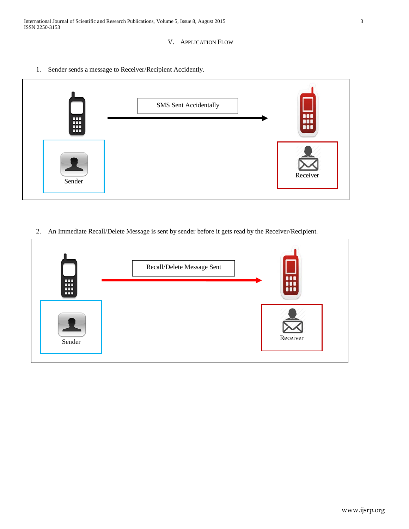International Journal of Scientific and Research Publications, Volume 5, Issue 8, August 2015 3 ISSN 2250-3153

# V. APPLICATION FLOW

1. Sender sends a message to Receiver/Recipient Accidently.



2. An Immediate Recall/Delete Message is sent by sender before it gets read by the Receiver/Recipient.

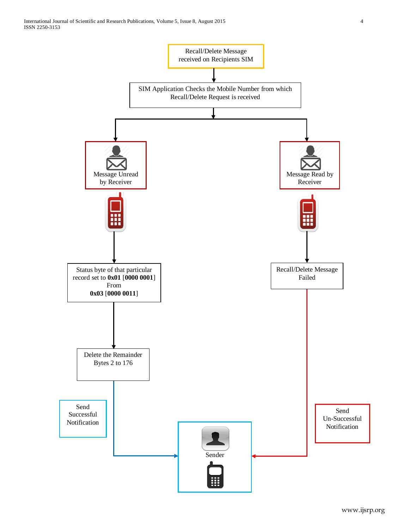